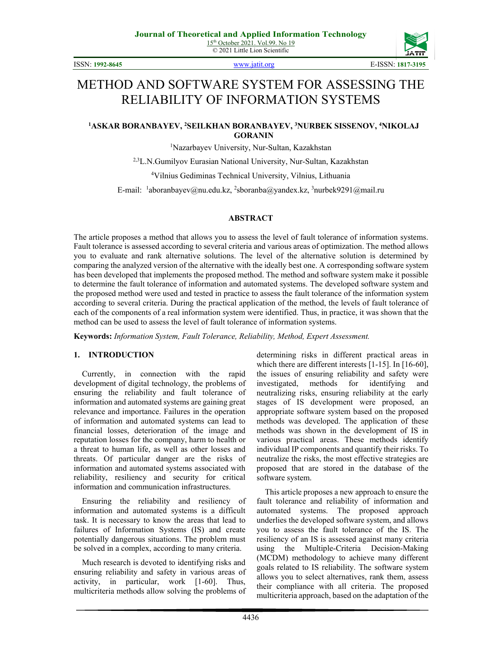

ISSN: **1992-8645** [www.jatit.org](http://www.jatit.org/) E-ISSN: **1817-3195**

# METHOD AND SOFTWARE SYSTEM FOR ASSESSING THE RELIABILITY OF INFORMATION SYSTEMS

#### **1 ASKAR BORANBAYEV, <sup>2</sup> SEILKHAN BORANBAYEV, <sup>3</sup> NURBEK SISSENOV, 4 NIKOLAJ GORANIN**

1 Nazarbayev University, Nur-Sultan, Kazakhstan

2,3L.N.Gumilyov Eurasian National University, Nur-Sultan, Kazakhstan

4 Vilnius Gediminas Technical University, Vilnius, Lithuania

E-mail: <sup>1</sup>[aboranbayev@nu.edu.kz,](mailto:1aboranbayev@nu.edu.kz) <sup>2</sup>sboranba@yandex.kz, <sup>3</sup>nurbek9291@mail.ru

#### **ABSTRACT**

The article proposes a method that allows you to assess the level of fault tolerance of information systems. Fault tolerance is assessed according to several criteria and various areas of optimization. The method allows you to evaluate and rank alternative solutions. The level of the alternative solution is determined by comparing the analyzed version of the alternative with the ideally best one. A corresponding software system has been developed that implements the proposed method. The method and software system make it possible to determine the fault tolerance of information and automated systems. The developed software system and the proposed method were used and tested in practice to assess the fault tolerance of the information system according to several criteria. During the practical application of the method, the levels of fault tolerance of each of the components of a real information system were identified. Thus, in practice, it was shown that the method can be used to assess the level of fault tolerance of information systems.

**Keywords:** *Information System, Fault Tolerance, Reliability, Method, Expert Assessment.*

#### **1. INTRODUCTION**

Currently, in connection with the rapid development of digital technology, the problems of ensuring the reliability and fault tolerance of information and automated systems are gaining great relevance and importance. Failures in the operation of information and automated systems can lead to financial losses, deterioration of the image and reputation losses for the company, harm to health or a threat to human life, as well as other losses and threats. Of particular danger are the risks of information and automated systems associated with reliability, resiliency and security for critical information and communication infrastructures.

Ensuring the reliability and resiliency of information and automated systems is a difficult task. It is necessary to know the areas that lead to failures of Information Systems (IS) and create potentially dangerous situations. The problem must be solved in a complex, according to many criteria.

Much research is devoted to identifying risks and ensuring reliability and safety in various areas of activity, in particular, work [1-60]. Thus, multicriteria methods allow solving the problems of determining risks in different practical areas in which there are different interests [1-15]. In [16-60], the issues of ensuring reliability and safety were investigated, methods for identifying and neutralizing risks, ensuring reliability at the early stages of IS development were proposed, an appropriate software system based on the proposed methods was developed. The application of these methods was shown in the development of IS in various practical areas. These methods identify individual IP components and quantify their risks. To neutralize the risks, the most effective strategies are proposed that are stored in the database of the software system.

This article proposes a new approach to ensure the fault tolerance and reliability of information and automated systems. The proposed approach underlies the developed software system, and allows you to assess the fault tolerance of the IS. The resiliency of an IS is assessed against many criteria using the Multiple-Criteria Decision-Making (MCDM) methodology to achieve many different goals related to IS reliability. The software system allows you to select alternatives, rank them, assess their compliance with all criteria. The proposed multicriteria approach, based on the adaptation of the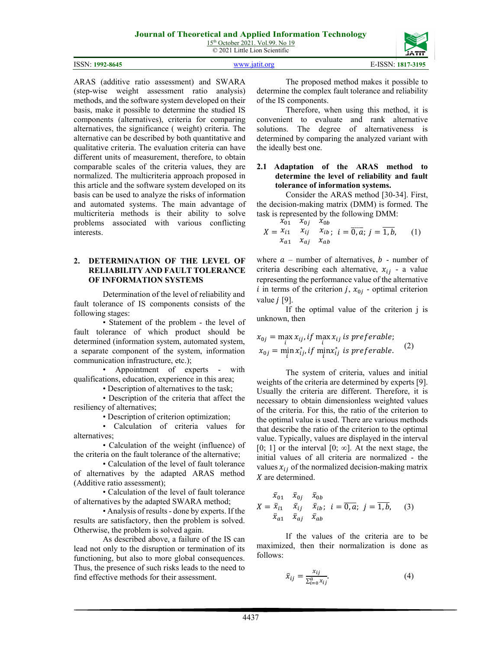15<sup>th</sup> October 2021. Vol.99. No 19 © 2021 Little Lion Scientific

ISSN: **1992-8645** [www.jatit.org](http://www.jatit.org/) E-ISSN: **1817-3195**



ARAS (additive ratio assessment) and SWARA (step-wise weight assessment ratio analysis) methods, and the software system developed on their basis, make it possible to determine the studied IS components (alternatives), criteria for comparing alternatives, the significance ( weight) criteria. The alternative can be described by both quantitative and qualitative criteria. The evaluation criteria can have different units of measurement, therefore, to obtain comparable scales of the criteria values, they are normalized. The multicriteria approach proposed in this article and the software system developed on its basis can be used to analyze the risks of information and automated systems. The main advantage of multicriteria methods is their ability to solve problems associated with various conflicting interests.

#### **2. DETERMINATION OF THE LEVEL OF RELIABILITY AND FAULT TOLERANCE OF INFORMATION SYSTEMS**

Determination of the level of reliability and fault tolerance of IS components consists of the following stages:

• Statement of the problem - the level of fault tolerance of which product should be determined (information system, automated system, a separate component of the system, information communication infrastructure, etc.);

• Appointment of experts - with qualifications, education, experience in this area;

• Description of alternatives to the task;

• Description of the criteria that affect the resiliency of alternatives;

• Description of criterion optimization;

• Calculation of criteria values for alternatives;

• Calculation of the weight (influence) of the criteria on the fault tolerance of the alternative;

• Calculation of the level of fault tolerance of alternatives by the adapted ARAS method (Additive ratio assessment);

• Calculation of the level of fault tolerance of alternatives by the adapted SWARA method;

• Analysis of results - done by experts. If the results are satisfactory, then the problem is solved. Otherwise, the problem is solved again.

As described above, a failure of the IS can lead not only to the disruption or termination of its functioning, but also to more global consequences. Thus, the presence of such risks leads to the need to find effective methods for their assessment.

The proposed method makes it possible to determine the complex fault tolerance and reliability of the IS components.

Therefore, when using this method, it is convenient to evaluate and rank alternative solutions. The degree of alternativeness is determined by comparing the analyzed variant with the ideally best one.

## **2.1 Adaptation of the ARAS method to determine the level of reliability and fault tolerance of information systems.**

Consider the ARAS method [30-34]. First, the decision-making matrix (DMM) is formed. The task is represented by the following DMM:  $x_{01}^{\dagger}$   $x_{0i}$   $x_{0h}^{\dagger}$ 

$$
X = \begin{cases} x_{01} & x_{0j} \\ x_{i1} & x_{ij} \\ x_{a1} & x_{ai} \\ x_{ab} & x_{ab} \end{cases} \quad (1)
$$

where  $a$  – number of alternatives,  $b$  - number of criteria describing each alternative,  $x_{ij}$  - a value representing the performance value of the alternative i in terms of the criterion j,  $x_{0i}$  - optimal criterion value  $j$  [9].

If the optimal value of the criterion j is unknown, then

$$
x_{0j} = \max_{i} x_{ij}, \text{if } \max_{i} x_{ij} \text{ is preferable};
$$
  

$$
x_{0j} = \min_{i} x_{ij}^{*}, \text{if } \min_{i} x_{ij}^{*} \text{ is preferable.}
$$
 (2)

The system of criteria, values and initial weights of the criteria are determined by experts [9]. Usually the criteria are different. Therefore, it is necessary to obtain dimensionless weighted values of the criteria. For this, the ratio of the criterion to the optimal value is used. There are various methods that describe the ratio of the criterion to the optimal value. Typically, values are displayed in the interval [0; 1] or the interval  $[0; \infty]$ . At the next stage, the initial values of all criteria are normalized - the values  $x_{ij}$  of the normalized decision-making matrix  $X$  are determined.

$$
\bar{x}_{01} \quad \bar{x}_{0j} \quad \bar{x}_{0b} \nX = \bar{x}_{i1} \quad \bar{x}_{ij} \quad \bar{x}_{ib} ; \quad i = \overline{0, a}; \quad j = \overline{1, b}, \quad (3) \n\bar{x}_{a1} \quad \bar{x}_{aj} \quad \bar{x}_{ab}
$$

If the values of the criteria are to be maximized, then their normalization is done as follows:

$$
\bar{x}_{ij} = \frac{x_{ij}}{\sum_{i=0}^{a} x_{ij}}.\tag{4}
$$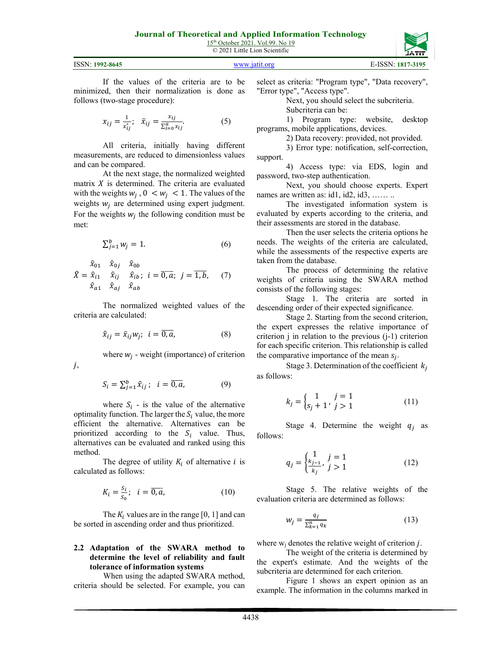| ISSN: 1992-8645 | www.jatit.org | E-ISSN: 1817-3195 |
|-----------------|---------------|-------------------|

If the values of the criteria are to be minimized, then their normalization is done as follows (two-stage procedure):

$$
x_{ij} = \frac{1}{x_{ij}^*}; \quad \bar{x}_{ij} = \frac{x_{ij}}{\sum_{i=0}^a x_{ij}}.
$$
 (5)

All criteria, initially having different measurements, are reduced to dimensionless values and can be compared.

At the next stage, the normalized weighted matrix  $X$  is determined. The criteria are evaluated with the weights  $w_i$ ,  $0 \le w_i \le 1$ . The values of the weights  $w_i$  are determined using expert judgment. For the weights  $w_i$  the following condition must be met:

$$
\sum_{j=1}^{b} w_j = 1. \tag{6}
$$

 $\ddot{X} =$  $\chi_{01}$   $\chi_{0j}$   $\chi_{0b}$  $\hat{x}_{i1}$   $\hat{x}_{ij}$   $\hat{x}_{i}$  $\hat{x}_{a1}$   $\hat{x}_{aj}$   $\hat{x}_a$ ;  $i = \overline{0, a}$ ;  $j = 1, k$  $(7)$ 

 $j,$ 

The normalized weighted values of the criteria are calculated:

$$
\hat{x}_{ij} = \bar{x}_{ij} w_j; \quad i = \overline{0, a}, \tag{8}
$$

where  $w_i$  - weight (importance) of criterion

$$
S_i = \sum_{j=1}^{b} \hat{x}_{ij}; \quad i = \overline{0, a}, \tag{9}
$$

where  $S_i$  - is the value of the alternative optimality function. The larger the  $S_i$  value, the more efficient the alternative. Alternatives can be prioritized according to the  $S_i$  value. Thus, alternatives can be evaluated and ranked using this method.

The degree of utility  $K_i$  of alternative *i* is calculated as follows:

$$
K_i = \frac{s_i}{s_0}; \quad i = \overline{0, a}, \tag{10}
$$

The  $K_i$  values are in the range [0, 1] and can be sorted in ascending order and thus prioritized.

#### **2.2 Adaptation of the SWARA method to determine the level of reliability and fault tolerance of information systems**

When using the adapted SWARA method, criteria should be selected. For example, you can select as criteria: "Program type", "Data recovery", "Error type", "Access type".

Next, you should select the subcriteria.

Subcriteria can be:

1) Program type: website, desktop programs, mobile applications, devices.

2) Data recovery: provided, not provided.

3) Error type: notification, self-correction, support.

4) Access type: via EDS, login and password, two-step authentication.

Next, you should choose experts. Expert names are written as: id1, id2, id3, ........

The investigated information system is evaluated by experts according to the criteria, and their assessments are stored in the database.

Then the user selects the criteria options he needs. The weights of the criteria are calculated, while the assessments of the respective experts are taken from the database.

The process of determining the relative weights of criteria using the SWARA method consists of the following stages:

Stage 1. The criteria are sorted in descending order of their expected significance.

Stage 2. Starting from the second criterion, the expert expresses the relative importance of criterion j in relation to the previous (j-1) criterion for each specific criterion. This relationship is called the comparative importance of the mean  $s_i$ .

Stage 3. Determination of the coefficient  $k_i$ as follows:

$$
k_j = \begin{cases} 1 & j = 1 \\ s_j + 1 & j > 1 \end{cases}
$$
 (11)

Stage 4. Determine the weight  $q_i$  as follows:

$$
q_j = \begin{cases} \frac{1}{k_{j-1}}, & j = 1\\ \frac{k_j}{k_j}, & j > 1 \end{cases}
$$
 (12)

Stage 5. The relative weights of the evaluation criteria are determined as follows:

$$
w_j = \frac{q_j}{\sum_{k=1}^n q_k} \tag{13}
$$

where  $w_i$  denotes the relative weight of criterion  $i$ .

The weight of the criteria is determined by the expert's estimate. And the weights of the subcriteria are determined for each criterion.

Figure 1 shows an expert opinion as an example. The information in the columns marked in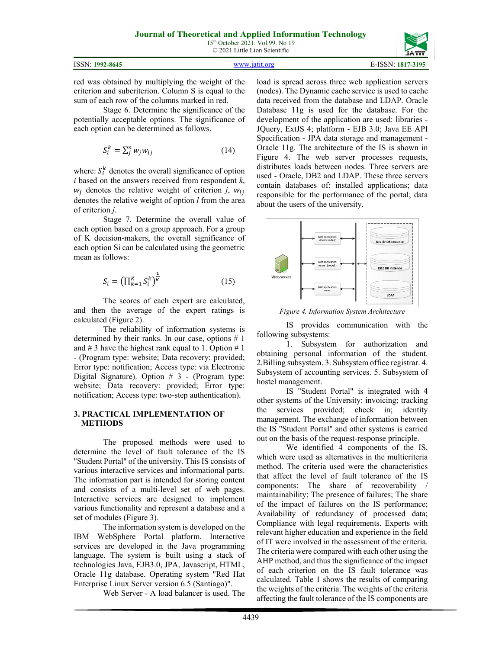© 2021 Little Lion Scientific

|                                    | ------                                |
|------------------------------------|---------------------------------------|
| ISSN:<br>$\frac{1}{2}$ : 1992-8645 | $-$ ISSN $\cdot$ $\cdot$<br>1817-3195 |
|                                    |                                       |

red was obtained by multiplying the weight of the criterion and subcriterion. Column S is equal to the sum of each row of the columns marked in red.

Stage 6. Determine the significance of the potentially acceptable options. The significance of each option can be determined as follows.

$$
S_i^k = \sum_j^n w_j w_{lj} \tag{14}
$$

where:  $S_i^k$  denotes the overall significance of option *i* based on the answers received from respondent *k*,  $w_i$  denotes the relative weight of criterion *j*,  $w_{1i}$ denotes the relative weight of option *l* from the area of criterion *j*.

Stage 7. Determine the overall value of each option based on a group approach. For a group of K decision-makers, the overall significance of each option Si can be calculated using the geometric mean as follows:

$$
S_i = \left(\prod_{k=1}^K S_i^k\right)^{\frac{1}{K}}\tag{15}
$$

The scores of each expert are calculated, and then the average of the expert ratings is calculated (Figure 2).

The reliability of information systems is determined by their ranks. In our case, options  $# 1$ and  $\# 3$  have the highest rank equal to 1. Option  $\# 1$ - (Program type: website; Data recovery: provided; Error type: notification; Access type: via Electronic Digital Signature). Option  $# 3$  - (Program type: website; Data recovery: provided; Error type: notification; Access type: two-step authentication).

#### **3. PRACTICAL IMPLEMENTATION OF METHODS**

The proposed methods were used to determine the level of fault tolerance of the IS "Student Portal" of the university. This IS consists of various interactive services and informational parts. The information part is intended for storing content and consists of a multi-level set of web pages. Interactive services are designed to implement various functionality and represent a database and a set of modules (Figure 3).

The information system is developed on the IBM WebSphere Portal platform. Interactive services are developed in the Java programming language. The system is built using a stack of technologies Java, EJB3.0, JPA, Javascript, HTML, Oracle 11g database. Operating system "Red Hat Enterprise Linux Server version 6.5 (Santiago)".

Web Server - A load balancer is used. The

load is spread across three web application servers (nodes). The Dynamic cache service is used to cache data received from the database and LDAP. Oracle Database 11g is used for the database. For the development of the application are used: libraries - JQuery, ExtJS 4; platform - EJB 3.0; Java EE API Specification - JPA data storage and management - Oracle 11g. The architecture of the IS is shown in Figure 4. The web server processes requests, distributes loads between nodes. Three servers are used - Oracle, DB2 and LDAP. These three servers contain databases of: installed applications; data responsible for the performance of the portal; data about the users of the university.



*Figure 4. Information System Architecture*

IS provides communication with the following subsystems:

1. Subsystem for authorization and obtaining personal information of the student. 2.Billing subsystem. 3. Subsystem office registrar. 4. Subsystem of accounting services. 5. Subsystem of hostel management.

IS "Student Portal" is integrated with 4 other systems of the University: invoicing; tracking the services provided; check in; identity management. The exchange of information between the IS "Student Portal" and other systems is carried out on the basis of the request-response principle.

We identified 4 components of the IS, which were used as alternatives in the multicriteria method. The criteria used were the characteristics that affect the level of fault tolerance of the IS components: The share of recoverability / maintainability; The presence of failures; The share of the impact of failures on the IS performance; Availability of redundancy of processed data; Compliance with legal requirements. Experts with relevant higher education and experience in the field of IT were involved in the assessment of the criteria. The criteria were compared with each other using the AHP method, and thus the significance of the impact of each criterion on the IS fault tolerance was calculated. Table 1 shows the results of comparing the weights of the criteria. The weights of the criteria affecting the fault tolerance of the IS components are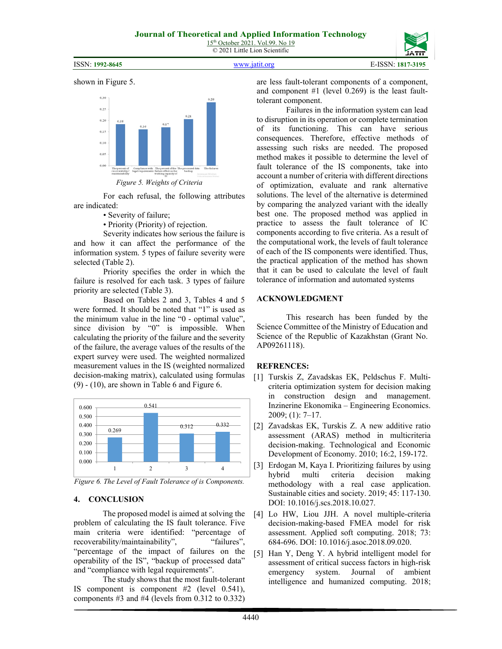ISSN: **1992-8645** [www.jatit.org](http://www.jatit.org/) E-ISSN: **1817-3195**





*Figure 5. Weights of Criteria*

For each refusal, the following attributes are indicated:

• Severity of failure;

• Priority (Priority) of rejection.

Severity indicates how serious the failure is and how it can affect the performance of the information system. 5 types of failure severity were selected (Table 2).

Priority specifies the order in which the failure is resolved for each task. 3 types of failure priority are selected (Table 3).

Based on Tables 2 and 3, Tables 4 and 5 were formed. It should be noted that "1" is used as the minimum value in the line "0 - optimal value", since division by "0" is impossible. When calculating the priority of the failure and the severity of the failure, the average values of the results of the expert survey were used. The weighted normalized measurement values in the IS (weighted normalized decision-making matrix), calculated using formulas  $(9) - (10)$ , are shown in Table 6 and Figure 6.



*Figure 6. The Level of Fault Tolerance of is Components.*

# **4. CONCLUSION**

The proposed model is aimed at solving the problem of calculating the IS fault tolerance. Five main criteria were identified: "percentage of recoverability/maintainability", "failures", "percentage of the impact of failures on the operability of the IS", "backup of processed data" and "compliance with legal requirements".

The study shows that the most fault-tolerant IS component is component #2 (level 0.541), components #3 and #4 (levels from 0.312 to 0.332) are less fault-tolerant components of a component, and component #1 (level 0.269) is the least faulttolerant component.

Failures in the information system can lead to disruption in its operation or complete termination of its functioning. This can have serious consequences. Therefore, effective methods of assessing such risks are needed. The proposed method makes it possible to determine the level of fault tolerance of the IS components, take into account a number of criteria with different directions of optimization, evaluate and rank alternative solutions. The level of the alternative is determined by comparing the analyzed variant with the ideally best one. The proposed method was applied in practice to assess the fault tolerance of IC components according to five criteria. As a result of the computational work, the levels of fault tolerance of each of the IS components were identified. Thus, the practical application of the method has shown that it can be used to calculate the level of fault tolerance of information and automated systems

#### **ACKNOWLEDGMENT**

This research has been funded by the Science Committee of the Ministry of Education and Science of the Republic of Kazakhstan (Grant No. АР09261118).

# **REFRENCES:**

- [1] Turskis Z, Zavadskas EK, Peldschus F. Multicriteria optimization system for decision making in construction design and management. Inzinerine Ekonomika – Engineering Economics. 2009; (1): 7–17.
- [2] Zavadskas EK, Turskis Z. A new additive ratio assessment (ARAS) method in multicriteria decision-making. Technological and Economic Development of Economy. 2010; 16:2, 159-172.
- [3] Erdogan M, Kaya I. Prioritizing failures by using hybrid multi criteria decision making methodology with a real case application. Sustainable cities and society. 2019; 45: 117-130. DOI: 10.1016/j.scs.2018.10.027.
- [4] Lo HW, Liou JJH. A novel multiple-criteria decision-making-based FMEA model for risk assessment. Applied soft computing. 2018; 73: 684-696. DOI: 10.1016/j.asoc.2018.09.020.
- [5] Han Y, Deng Y. A hybrid intelligent model for assessment of critical success factors in high-risk<br>emergency system. Journal of ambient emergency system. Journal of ambient intelligence and humanized computing. 2018;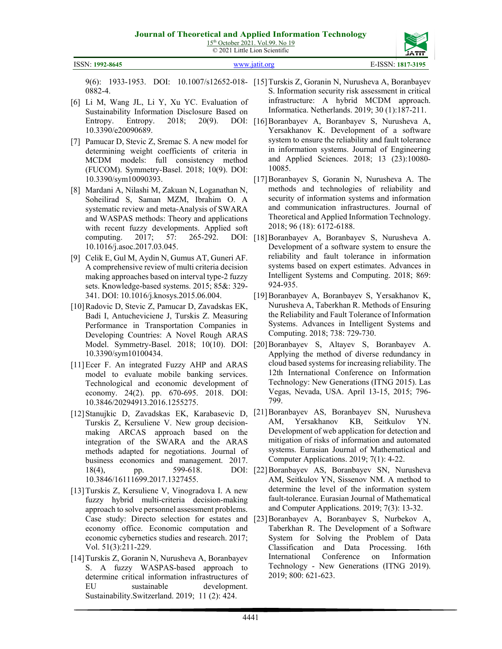15<sup>th</sup> October 2021. Vol.99. No 19 © 2021 Little Lion Scientific



4441

ISSN: **1992-8645** [www.jatit.org](http://www.jatit.org/) E-ISSN: **1817-3195**

0882-4.

- [6] Li M, Wang JL, Li Y, Xu YC. Evaluation of Sustainability Information Disclosure Based on Entropy. Entropy. 2018; 20(9). DOI: 10.3390/e20090689.
- [7] Pamucar D, Stevic Z, Sremac S. A new model for determining weight coefficients of criteria in MCDM models: full consistency method (FUCOM). Symmetry-Basel. 2018; 10(9). DOI: 10.3390/sym10090393.
- [8] Mardani A, Nilashi M, Zakuan N, Loganathan N, Soheilirad S, Saman MZM, Ibrahim O. A systematic review and meta-Analysis of SWARA and WASPAS methods: Theory and applications with recent fuzzy developments. Applied soft computing. 2017; 57: 265-292. 10.1016/j.asoc.2017.03.045.
- [9] Celik E, Gul M, Aydin N, Gumus AT, Guneri AF. A comprehensive review of multi criteria decision making approaches based on interval type-2 fuzzy sets. Knowledge-based systems. 2015; 85&: 329- 341. DOI: 10.1016/j.knosys.2015.06.004.
- [10]Radovic D, Stevic Z, Pamucar D, Zavadskas EK, Badi I, Antucheviciene J, Turskis Z. Measuring Performance in Transportation Companies in Developing Countries: A Novel Rough ARAS 10.3390/sym10100434.
- [11]Ecer F. An integrated Fuzzy AHP and ARAS model to evaluate mobile banking services. Technological and economic development of economy. 24(2). pp. 670-695. 2018. DOI: 10.3846/20294913.2016.1255275.
- [12]Stanujkic D, Zavadskas EK, Karabasevic D, Turskis Z, Kersuliene V. New group decisionmaking ARCAS approach based on the integration of the SWARA and the ARAS methods adapted for negotiations. Journal of business economics and management. 2017.  $18(4)$ , pp.  $599-618$ . 10.3846/16111699.2017.1327455.
- [13]Turskis Z, Kersuliene V, Vinogradova I. A new fuzzy hybrid multi-criteria decision-making approach to solve personnel assessment problems. Case study: Directo selection for estates and economy office. Economic computation and economic cybernetics studies and research. 2017; Vol. 51(3):211-229.
- [14]Turskis Z, Goranin N, Nurusheva A, Boranbayev S. A fuzzy WASPAS-based approach to determine critical information infrastructures of EU sustainable development. Sustainability.Switzerland. 2019; 11 (2): 424.
- 9(6): 1933-1953. DOI: 10.1007/s12652-018- [15]Turskis Z, Goranin N, Nurusheva A, Boranbayev S. Information security risk assessment in critical infrastructure: A hybrid MCDM approach. Informatica. Netherlands. 2019; 30 (1):187-211.
	- [16]Boranbayev A, Boranbayev S, Nurusheva A, Yersakhanov K. Development of a software system to ensure the reliability and fault tolerance in information systems. Journal of Engineering and Applied Sciences. 2018; 13 (23):10080- 10085.
	- [17]Boranbayev S, Goranin N, Nurusheva A. The methods and technologies of reliability and security of information systems and information and communication infrastructures. Journal of Theoretical and Applied Information Technology. 2018; 96 (18): 6172-6188.
	- DOI: [18]Boranbayev A, Boranbayev S, Nurusheva A. Development of a software system to ensure the reliability and fault tolerance in information systems based on expert estimates. Advances in Intelligent Systems and Computing. 2018; 869: 924-935.
		- [19]Boranbayev A, Boranbayev S, Yersakhanov K, Nurusheva A, Taberkhan R. Methods of Ensuring the Reliability and Fault Tolerance of Information Systems. Advances in Intelligent Systems and Computing. 2018; 738: 729-730.
- Model. Symmetry-Basel. 2018; 10(10). DOI: [20]Boranbayev S, Altayev S, Boranbayev A. Applying the method of diverse redundancy in cloud based systems for increasing reliability. The 12th International Conference on Information Technology: New Generations (ITNG 2015). Las Vegas, Nevada, USA. April 13-15, 2015; 796- 799.
	- [21]Boranbayev AS, Boranbayev SN, Nurusheva AM, Yersakhanov KB, Seitkulov YN. Development of web application for detection and mitigation of risks of information and automated systems. Eurasian Journal of Mathematical and Computer Applications. 2019; 7(1): 4-22.
	- [22]Boranbayev AS, Boranbayev SN, Nurusheva AM, Seitkulov YN, Sissenov NM. A method to determine the level of the information system fault-tolerance. Eurasian Journal of Mathematical and Computer Applications. 2019; 7(3): 13-32.
		- [23]Boranbayev A, Boranbayev S, Nurbekov A, Taberkhan R. The Development of a Software System for Solving the Problem of Data Classification and Data Processing. 16th International Conference on Information Technology - New Generations (ITNG 2019). 2019; 800: 621-623.

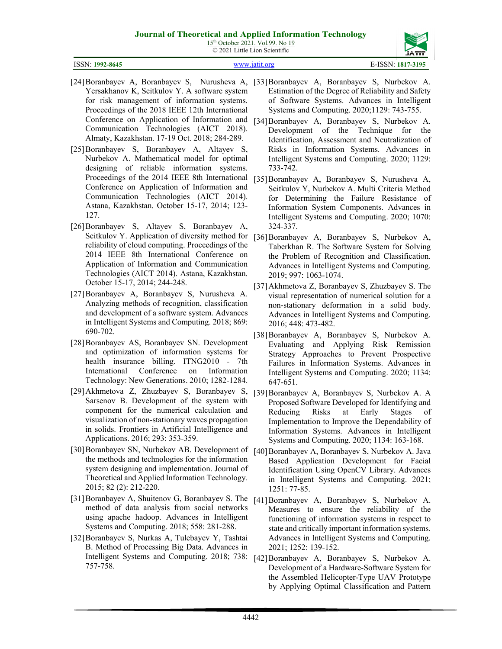15<sup>th</sup> October 2021. Vol.99. No 19 © 2021 Little Lion Scientific



| ISSN: 1992-8645 | www.jatit.org | E-ISSN: 1817-3195 |
|-----------------|---------------|-------------------|
|                 |               |                   |

- Yersakhanov K, Seitkulov Y. A software system for risk management of information systems. Proceedings of the 2018 IEEE 12th International Conference on Application of Information and Communication Technologies (AICT 2018). Almaty, Kazakhstan. 17-19 Oct. 2018; 284-289.
- [25]Boranbayev S, Boranbayev A, Altayev S, Nurbekov A. Mathematical model for optimal designing of reliable information systems. Proceedings of the 2014 IEEE 8th International Conference on Application of Information and Communication Technologies (AICT 2014). Astana, Kazakhstan. October 15-17, 2014; 123- 127.
- [26]Boranbayev S, Altayev S, Boranbayev A, Seitkulov Y. Application of diversity method for reliability of cloud computing. Proceedings of the 2014 IEEE 8th International Conference on Application of Information and Communication Technologies (AICT 2014). Astana, Kazakhstan. October 15-17, 2014; 244-248.
- [27]Boranbayev A, Boranbayev S, Nurusheva A. Analyzing methods of recognition, classification and development of a software system. Advances in Intelligent Systems and Computing. 2018; 869: 690-702.
- [28]Boranbayev AS, Boranbayev SN. Development and optimization of information systems for health insurance billing. ITNG2010 - 7th International Conference on Information Technology: New Generations. 2010; 1282-1284.
- [29]Akhmetova Z, Zhuzbayev S, Boranbayev S, [39]Boranbayev A, Boranbayev S, Nurbekov A. A Sarsenov B. Development of the system with component for the numerical calculation and visualization of non-stationary waves propagation in solids. Frontiers in Artificial Intelligence and Applications. 2016; 293: 353-359.
- [30]Boranbayev SN, Nurbekov AB. Development of the methods and technologies for the information system designing and implementation. Journal of Theoretical and Applied Information Technology. 2015; 82 (2): 212-220.
- [31]Boranbayev A, Shuitenov G, Boranbayev S. The method of data analysis from social networks using apache hadoop. Advances in Intelligent Systems and Computing. 2018; 558: 281-288.
- [32]Boranbayev S, Nurkas A, Tulebayev Y, Tashtai B. Method of Processing Big Data. Advances in Intelligent Systems and Computing. 2018; 738: [42]Boranbayev A, Boranbayev S, Nurbekov A. 757-758.
- [24]Boranbayev A, Boranbayev S, Nurusheva A, [33]Boranbayev A, Boranbayev S, Nurbekov A. Estimation of the Degree of Reliability and Safety of Software Systems. Advances in Intelligent Systems and Computing. 2020;1129: 743-755.
	- [34]Boranbayev A, Boranbayev S, Nurbekov A. Development of the Technique for the Identification, Assessment and Neutralization of Risks in Information Systems. Advances in Intelligent Systems and Computing. 2020; 1129: 733-742.
	- [35]Boranbayev A, Boranbayev S, Nurusheva A, Seitkulov Y, Nurbekov A. Multi Criteria Method for Determining the Failure Resistance of Information System Components. Advances in Intelligent Systems and Computing. 2020; 1070: 324-337.
	- [36]Boranbayev A, Boranbayev S, Nurbekov A, Taberkhan R. The Software System for Solving the Problem of Recognition and Classification. Advances in Intelligent Systems and Computing. 2019; 997: 1063-1074.
	- [37]Akhmetova Z, Boranbayev S, Zhuzbayev S. The visual representation of numerical solution for a non-stationary deformation in a solid body. Advances in Intelligent Systems and Computing. 2016; 448: 473-482.
	- [38]Boranbayev A, Boranbayev S, Nurbekov A. Evaluating and Applying Risk Remission Strategy Approaches to Prevent Prospective Failures in Information Systems. Advances in Intelligent Systems and Computing. 2020; 1134: 647-651.
	- Proposed Software Developed for Identifying and Reducing Risks at Early Stages of Implementation to Improve the Dependability of Information Systems. Advances in Intelligent Systems and Computing. 2020; 1134: 163-168.
	- [40]Boranbayev A, Boranbayev S, Nurbekov A. Java Based Application Development for Facial Identification Using OpenCV Library. Advances in Intelligent Systems and Computing. 2021; 1251: 77-85.
	- [41]Boranbayev A, Boranbayev S, Nurbekov A. Measures to ensure the reliability of the functioning of information systems in respect to state and critically important information systems. Advances in Intelligent Systems and Computing. 2021; 1252: 139-152.
	- Development of a Hardware-Software System for the Assembled Helicopter-Type UAV Prototype by Applying Optimal Classification and Pattern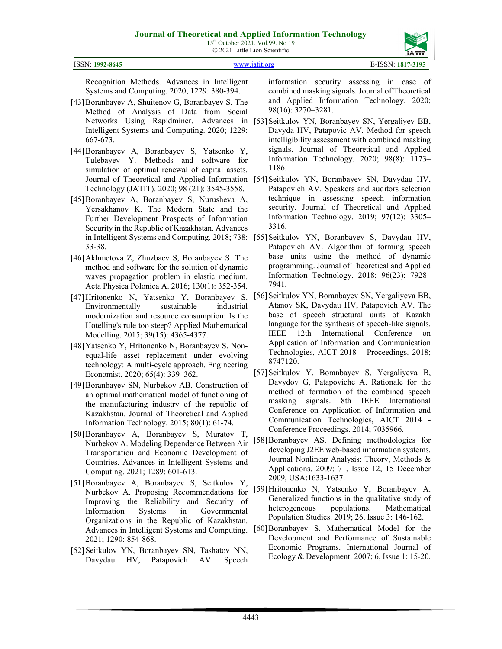

Recognition Methods. Advances in Intelligent Systems and Computing. 2020; 1229: 380-394.

- [43]Boranbayev A, Shuitenov G, Boranbayev S. The Method of Analysis of Data from Social Networks Using Rapidminer. Advances in Intelligent Systems and Computing. 2020; 1229: 667-673.
- [44]Boranbayev A, Boranbayev S, Yatsenko Y, Tulebayev Y. Methods and software for simulation of optimal renewal of capital assets. Journal of Theoretical and Applied Information Technology (JATIT). 2020; 98 (21): 3545-3558.
- [45]Boranbayev A, Boranbayev S, Nurusheva A, Yersakhanov K. The Modern State and the Further Development Prospects of Information Security in the Republic of Kazakhstan. Advances in Intelligent Systems and Computing. 2018; 738: 33-38.
- [46]Akhmetova Z, Zhuzbaev S, Boranbayev S. The method and software for the solution of dynamic waves propagation problem in elastic medium. Acta Physica Polonica A. 2016; 130(1): 352-354.
- [47]Hritonenko N, Yatsenko Y, Boranbayev S. Environmentally sustainable industrial modernization and resource consumption: Is the Hotelling's rule too steep? Applied Mathematical Modelling. 2015; 39(15): 4365-4377.
- [48]Yatsenko Y, Hritonenko N, Boranbayev S. Nonequal-life asset replacement under evolving technology: A multi-cycle approach. Engineering Economist. 2020; 65(4): 339–362.
- [49]Boranbayev SN, Nurbekov AB. Construction of an optimal mathematical model of functioning of the manufacturing industry of the republic of Kazakhstan. Journal of Theoretical and Applied Information Technology. 2015; 80(1): 61-74.
- [50]Boranbayev A, Boranbayev S, Muratov T, Nurbekov A. Modeling Dependence Between Air Transportation and Economic Development of Countries. Advances in Intelligent Systems and Computing. 2021; 1289: 601-613.
- [51]Boranbayev A, Boranbayev S, Seitkulov Y, Nurbekov A. Proposing Recommendations for Improving the Reliability and Security of Information Systems in Governmental Organizations in the Republic of Kazakhstan. Advances in Intelligent Systems and Computing. 2021; 1290: 854-868.
- [52] Seitkulov YN, Boranbayev SN, Tashatov NN, Davydau HV, Patapovich AV. Speech

information security assessing in case of combined masking signals. Journal of Theoretical and Applied Information Technology. 2020; 98(16): 3270–3281.

- [53] Seitkulov YN, Boranbayev SN, Yergaliyev BB, Davyda HV, Patapovic AV. Method for speech intelligibility assessment with combined masking signals. Journal of Theoretical and Applied Information Technology. 2020; 98(8): 1173– 1186.
- [54] Seitkulov YN, Boranbayev SN, Davydau HV, Patapovich AV. Speakers and auditors selection technique in assessing speech information security. Journal of Theoretical and Applied Information Technology. 2019; 97(12): 3305– 3316.
- [55] Seitkulov YN, Boranbayev S, Davydau HV, Patapovich AV. Algorithm of forming speech base units using the method of dynamic programming. Journal of Theoretical and Applied Information Technology. 2018; 96(23): 7928– 7941.
- [56] Seitkulov YN, Boranbayev SN, Yergaliyeva BB, Atanov SK, Davydau HV, Patapovich AV. The base of speech structural units of Kazakh language for the synthesis of speech-like signals. IEEE 12th International Conference on Application of Information and Communication Technologies, AICT 2018 – Proceedings. 2018; 8747120.
- [57]Seitkulov Y, Boranbayev S, Yergaliyeva B, Davydov G, Patapoviche A. Rationale for the method of formation of the combined speech masking signals. 8th IEEE International Conference on Application of Information and Communication Technologies, AICT 2014 - Conference Proceedings. 2014; 7035966.
- [58]Boranbayev AS. Defining methodologies for developing J2EE web-based information systems. Journal Nonlinear Analysis: Theory, Methods & Applications. 2009; 71, Issue 12, 15 December 2009, USA:1633-1637.
- [59]Hritonenko N, Yatsenko Y, Boranbayev A. Generalized functions in the qualitative study of heterogeneous populations. Mathematical Population Studies. 2019; 26, Issue 3: 146-162.
- [60]Boranbayev S. Mathematical Model for the Development and Performance of Sustainable Economic Programs. International Journal of Ecology & Development. 2007; 6, Issue 1: 15-20.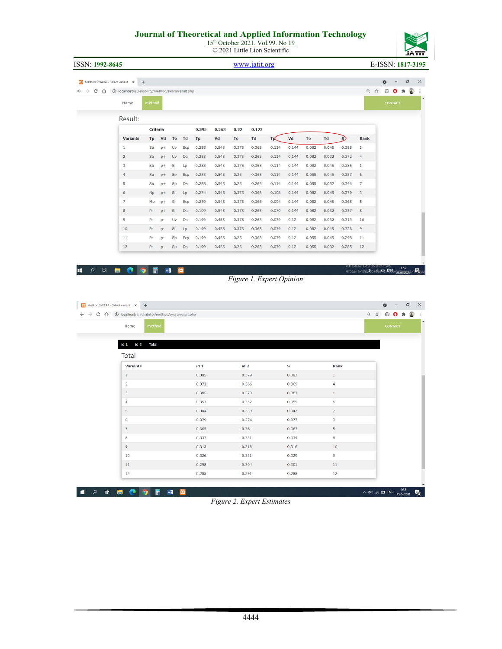15<sup>th</sup> October 2021. Vol.99. No 19 © 2021 Little Lion Scientific

| ISSN: 1992-8645                                     |                                                                                                                        |              |                |    |     |                 |             |                 | www.jatit.org            |       |                |       |                         |              |                                                   | E-ISSN: 1817-3195 |                |               |                  |
|-----------------------------------------------------|------------------------------------------------------------------------------------------------------------------------|--------------|----------------|----|-----|-----------------|-------------|-----------------|--------------------------|-------|----------------|-------|-------------------------|--------------|---------------------------------------------------|-------------------|----------------|---------------|------------------|
|                                                     | 80 Method SWARA - Select variant X +                                                                                   |              |                |    |     |                 |             |                 |                          |       |                |       |                         |              |                                                   |                   | $\bullet$      |               | $\Box$           |
|                                                     | $\leftarrow$ $\rightarrow$ $\mathbb{C}$ $\hat{\Omega}$ $\hat{\omega}$ localhost/is_reliability/method/swara/result.php |              |                |    |     |                 |             |                 |                          |       |                |       |                         |              |                                                   | Q ☆               |                | $00*$         | $\ddot{\bullet}$ |
|                                                     | Home                                                                                                                   | method       |                |    |     |                 |             |                 |                          |       |                |       |                         |              |                                                   |                   | <b>CONTACT</b> |               |                  |
|                                                     |                                                                                                                        |              |                |    |     |                 |             |                 |                          |       |                |       |                         |              |                                                   |                   |                |               |                  |
|                                                     | Result:                                                                                                                |              |                |    |     |                 |             |                 |                          |       |                |       |                         |              |                                                   |                   |                |               |                  |
|                                                     | <b>Variants</b>                                                                                                        | Tp           | Criteria<br>Vd | To | Td  | 0.395<br>Tp     | 0.263<br>Vd | 0.22<br>To      | 0.122<br>Td              | Tp    | Vd             | To    | Td                      | $\mathbf{s}$ | Rank                                              |                   |                |               |                  |
|                                                     | $\,$ 1                                                                                                                 | Sa           | $p+$           | Uv | Ecp | 0.288           | 0.545       | 0.375           | 0.368                    | 0.114 | 0.144          | 0.082 | 0.045                   | 0.385        | $\,1\,$                                           |                   |                |               |                  |
|                                                     | $\overline{2}$                                                                                                         | Sa           | $D+$           | Uv | Da  | 0.288           | 0.545       | 0.375           | 0.263                    | 0.114 | 0.144          | 0.082 | 0.032                   | 0.372        | $\overline{4}$                                    |                   |                |               |                  |
|                                                     | 3                                                                                                                      | Sa           | $p+$           | Si | Lp  | 0.288           | 0.545       | 0.375           | 0.368                    | 0.114 | 0.144          | 0.082 | 0.045                   | 0.385        | $\mathbf 1$                                       |                   |                |               |                  |
|                                                     | $\overline{4}$                                                                                                         | Sa           | $p+$           | Sp | Ecp | 0.288           | 0.545       | 0.25            | 0.368                    | 0.114 | 0.144          | 0.055 | 0.045                   | 0.357        | $\,$ 6                                            |                   |                |               |                  |
|                                                     | 5                                                                                                                      | Sa           | $p+$           | Sp | Da  | 0.288           | 0.545       | 0.25            | 0.263                    | 0.114 | 0.144          | 0.055 | 0.032                   | 0.344        | $\overline{7}$                                    |                   |                |               |                  |
|                                                     | $6\,$                                                                                                                  | <b>Np</b>    | $p+$           | Si | Lp  | 0.274           | 0.545       | 0.375           | 0.368                    | 0.108 | 0.144          | 0.082 | 0.045                   | 0.379        | 3                                                 |                   |                |               |                  |
|                                                     | $\overline{7}$                                                                                                         | Mp           | $p+$           | Si | Ecp | 0.239           | 0.545       | 0.375           | 0.368                    | 0.094 | 0.144          | 0.082 | 0.045                   | 0.365        | 5                                                 |                   |                |               |                  |
|                                                     | $_{\rm 8}$                                                                                                             | Pr           | $p+$           | Si | Da  | 0.199           | 0.545       | 0.375           | 0.263                    | 0.079 | 0.144          | 0.082 | 0.032                   | 0.337        | $\bf8$                                            |                   |                |               |                  |
|                                                     | $\overline{9}$                                                                                                         | Pr           | p-             | Uv | Da  | 0.199           | 0.455       | 0.375           | 0.263                    | 0.079 | 0.12           | 0.082 | 0.032                   | 0.313        | 10                                                |                   |                |               |                  |
|                                                     | 10                                                                                                                     | Pr           | $D -$          | SI | Lp  | 0.199           | 0.455       | 0.375           | 0.368                    | 0.079 | 0.12           | 0.082 | 0.045                   | 0.326        | $\overline{9}$                                    |                   |                |               |                  |
|                                                     | 11                                                                                                                     | Pr           | p-             | Sp | Ecp | 0.199           | 0.455       | 0.25            | 0.368                    | 0.079 | 0.12           | 0.055 | 0.045                   | 0.298        | 11                                                |                   |                |               |                  |
|                                                     | 12                                                                                                                     | Pr           | p-             | Sp | Da  | 0.199           | 0.455       | 0.25            | 0.263                    | 0.079 | 0.12           | 0.055 | 0.032                   | 0.285        | 12                                                |                   |                |               |                  |
| $\mathcal{L}$<br>$\Xi^{\scriptscriptstyle \dagger}$ | e<br>b.                                                                                                                | 丽            | $w_1^2$        |    |     |                 |             |                 | Figure 1. Expert Opinion |       |                |       |                         |              | кктивация<br>Чтобы активирований FNGws25092024 ит | νπιασι            |                | 1:55          |                  |
|                                                     |                                                                                                                        |              |                |    |     |                 |             |                 |                          |       |                |       |                         |              |                                                   |                   |                |               |                  |
|                                                     | <b>23</b> Method SWARA - Select variant X<br>$+$                                                                       |              |                |    |     |                 |             |                 |                          |       |                |       |                         |              |                                                   |                   | $\bullet$      |               |                  |
|                                                     | ← → C △ ① localhost/is_reliability/method/swara/result.php                                                             |              |                |    |     |                 |             |                 |                          |       |                |       |                         |              |                                                   | Q ☆               |                | $0$ O $*$ $*$ |                  |
|                                                     | Home                                                                                                                   | method       |                |    |     |                 |             |                 |                          |       |                |       |                         |              |                                                   |                   | CONTACT        |               |                  |
|                                                     | id <sub>1</sub><br>id <sub>2</sub>                                                                                     | <b>Total</b> |                |    |     |                 |             |                 |                          |       |                |       |                         |              |                                                   |                   |                |               |                  |
|                                                     | <b>Total</b>                                                                                                           |              |                |    |     |                 |             |                 |                          |       |                |       |                         |              |                                                   |                   |                |               |                  |
|                                                     | <b>Variants</b>                                                                                                        |              |                |    |     | id <sub>1</sub> |             | id <sub>2</sub> |                          |       | $\mathbf{s}$   |       | Rank                    |              |                                                   |                   |                |               |                  |
|                                                     | $\mathbf 1$                                                                                                            |              |                |    |     | 0.385           |             | 0.379           |                          |       | 0.382          |       | $\mathbf{1}$            |              |                                                   |                   |                |               |                  |
|                                                     | $\overline{\mathbf{c}}$                                                                                                |              |                |    |     | 0.372           |             | 0.366           |                          |       | 0.369          |       | $\overline{4}$          |              |                                                   |                   |                |               |                  |
|                                                     | 3                                                                                                                      |              |                |    |     | 0.385           |             | 0.379           |                          |       | 0.382          |       | $\,1\,$                 |              |                                                   |                   |                |               |                  |
|                                                     | 4                                                                                                                      |              |                |    |     | 0.357           |             | 0.352           |                          |       | 0.355          |       | 6                       |              |                                                   |                   |                |               |                  |
|                                                     | 5                                                                                                                      |              |                |    |     | 0.344           |             | 0.339           |                          |       | 0.342          |       | $\overline{7}$          |              |                                                   |                   |                |               |                  |
|                                                     | $\mathbf 6$                                                                                                            |              |                |    |     | 0.379           |             | 0.374           |                          |       | 0.377          |       | $\overline{\mathbf{3}}$ |              |                                                   |                   |                |               |                  |
|                                                     | $\overline{7}$                                                                                                         |              |                |    |     | 0.365           |             | 0.36            |                          |       | 0.363          |       | 5                       |              |                                                   |                   |                |               |                  |
|                                                     | 8                                                                                                                      |              |                |    |     | 0.337           |             | 0.331           |                          |       | 0.334          |       | 8                       |              |                                                   |                   |                |               |                  |
|                                                     | 9                                                                                                                      |              |                |    |     | 0.313           |             | 0.318           |                          |       | 0.316          |       | 10                      |              |                                                   |                   |                |               |                  |
|                                                     | 10<br>11                                                                                                               |              |                |    |     | 0.326<br>0.298  |             | 0.331<br>0.304  |                          |       | 0.329<br>0.301 |       | 9<br>11                 |              |                                                   |                   |                |               | $\Box$           |

**I A E D O E E E E** 

*Figure 2. Expert Estimates*

 $\sim$  (1)  $\approx$  ENG  $^{1:58}_{25.04.2021}$ 

 $\vert \overline{\psi}_0 \vert$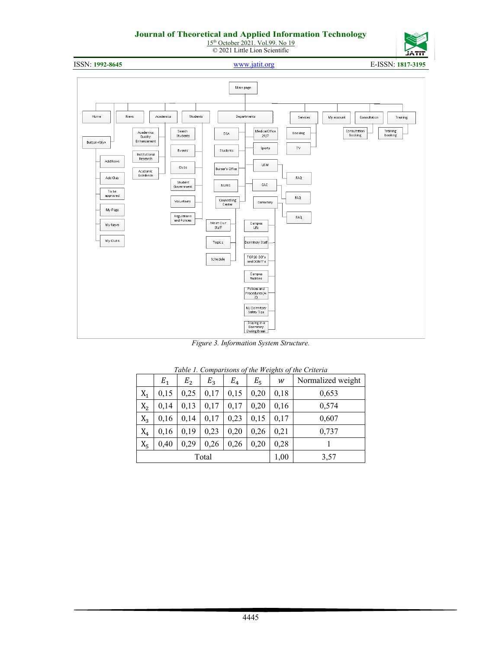15<sup>th</sup> October 2021. Vol.99. No 19 © 2021 Little Lion Scientific



ISSN: **1992-8645** [www.jatit.org](http://www.jatit.org/) E-ISSN: **1817-3195**



*Figure 3. Information System Structure.*

|       | Table 1. Comparisons of the weights of the Criteria |                |       |       |       |      |                   |  |  |  |
|-------|-----------------------------------------------------|----------------|-------|-------|-------|------|-------------------|--|--|--|
|       | $E_1$                                               | E <sub>2</sub> | $E_3$ | $E_4$ | $E_5$ | w    | Normalized weight |  |  |  |
| $X_1$ | 0,15                                                | 0,25           | 0,17  | 0,15  | 0,20  | 0,18 | 0,653             |  |  |  |
| $X_2$ | 0,14                                                | 0,13           | 0,17  | 0,17  | 0,20  | 0,16 | 0,574             |  |  |  |
| $X_3$ | 0,16                                                | 0,14           | 0,17  | 0,23  | 0,15  | 0,17 | 0,607             |  |  |  |
| $X_4$ | 0,16                                                | 0,19           | 0,23  | 0,20  | 0,26  | 0,21 | 0,737             |  |  |  |
| $X_5$ | 0,40                                                | 0,29           | 0,26  | 0,26  | 0,20  | 0,28 |                   |  |  |  |
|       |                                                     |                | Total |       |       | 1,00 | 3,57              |  |  |  |

| Table 1. Comparisons of the Weights of the Criteria |  |
|-----------------------------------------------------|--|
|-----------------------------------------------------|--|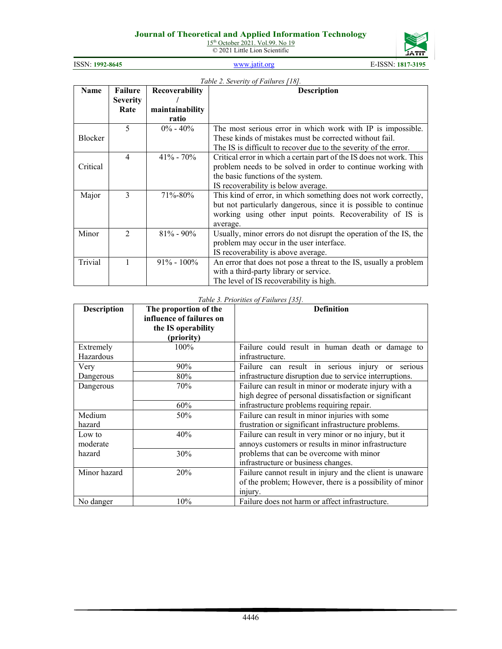15<sup>th</sup> October 2021. Vol.99. No 19 © 2021 Little Lion Scientific



| ISSN: 1992-8645 | www.jatit.org | E-ISSN: 1817-3195 |
|-----------------|---------------|-------------------|
|                 |               |                   |

|          | Table 2. Severity of Failures [18]. |                 |                                                                      |  |  |  |  |  |  |  |
|----------|-------------------------------------|-----------------|----------------------------------------------------------------------|--|--|--|--|--|--|--|
| Name     | Failure                             | Recoverability  | <b>Description</b>                                                   |  |  |  |  |  |  |  |
|          | <b>Severity</b>                     |                 |                                                                      |  |  |  |  |  |  |  |
|          | Rate                                | maintainability |                                                                      |  |  |  |  |  |  |  |
|          |                                     | ratio           |                                                                      |  |  |  |  |  |  |  |
|          | 5                                   | $0\% - 40\%$    | The most serious error in which work with IP is impossible.          |  |  |  |  |  |  |  |
| Blocker  |                                     |                 | These kinds of mistakes must be corrected without fail.              |  |  |  |  |  |  |  |
|          |                                     |                 | The IS is difficult to recover due to the severity of the error.     |  |  |  |  |  |  |  |
|          | $\overline{4}$                      | $41\% - 70\%$   | Critical error in which a certain part of the IS does not work. This |  |  |  |  |  |  |  |
| Critical |                                     |                 | problem needs to be solved in order to continue working with         |  |  |  |  |  |  |  |
|          |                                     |                 | the basic functions of the system.                                   |  |  |  |  |  |  |  |
|          |                                     |                 | IS recoverability is below average.                                  |  |  |  |  |  |  |  |
| Major    | 3                                   | 71%-80%         | This kind of error, in which something does not work correctly,      |  |  |  |  |  |  |  |
|          |                                     |                 | but not particularly dangerous, since it is possible to continue     |  |  |  |  |  |  |  |
|          |                                     |                 | working using other input points. Recoverability of IS is            |  |  |  |  |  |  |  |
|          |                                     |                 | average.                                                             |  |  |  |  |  |  |  |
| Minor    | $\mathfrak{D}$                      | $81\% - 90\%$   | Usually, minor errors do not disrupt the operation of the IS, the    |  |  |  |  |  |  |  |
|          |                                     |                 | problem may occur in the user interface.                             |  |  |  |  |  |  |  |
|          |                                     |                 | IS recoverability is above average.                                  |  |  |  |  |  |  |  |
| Trivial  | 1                                   | $91\% - 100\%$  | An error that does not pose a threat to the IS, usually a problem    |  |  |  |  |  |  |  |
|          |                                     |                 | with a third-party library or service.                               |  |  |  |  |  |  |  |
|          |                                     |                 | The level of IS recoverability is high.                              |  |  |  |  |  |  |  |

#### *Table 3. Priorities of Failures [35].*

|                    |                          | $1$ acro 5. 1 Februaries 6. 1 annul 05. 1551.             |
|--------------------|--------------------------|-----------------------------------------------------------|
| <b>Description</b> | The proportion of the    | <b>Definition</b>                                         |
|                    | influence of failures on |                                                           |
|                    | the IS operability       |                                                           |
|                    | (priority)               |                                                           |
| Extremely          | 100%                     | Failure could result in human death or damage to          |
| Hazardous          |                          | infrastructure.                                           |
| Very               | 90%                      | Failure can result in serious injury or serious           |
| Dangerous          | 80%                      | infrastructure disruption due to service interruptions.   |
| Dangerous          | 70%                      | Failure can result in minor or moderate injury with a     |
|                    |                          | high degree of personal dissatisfaction or significant    |
|                    | 60%                      | infrastructure problems requiring repair.                 |
| Medium             | 50%                      | Failure can result in minor injuries with some            |
| hazard             |                          | frustration or significant infrastructure problems.       |
| Low to             | 40%                      | Failure can result in very minor or no injury, but it     |
| moderate           |                          | annoys customers or results in minor infrastructure       |
| hazard             | 30%                      | problems that can be overcome with minor                  |
|                    |                          | infrastructure or business changes.                       |
| Minor hazard       | 20%                      | Failure cannot result in injury and the client is unaware |
|                    |                          | of the problem; However, there is a possibility of minor  |
|                    |                          | injury.                                                   |
| No danger          | 10%                      | Failure does not harm or affect infrastructure.           |